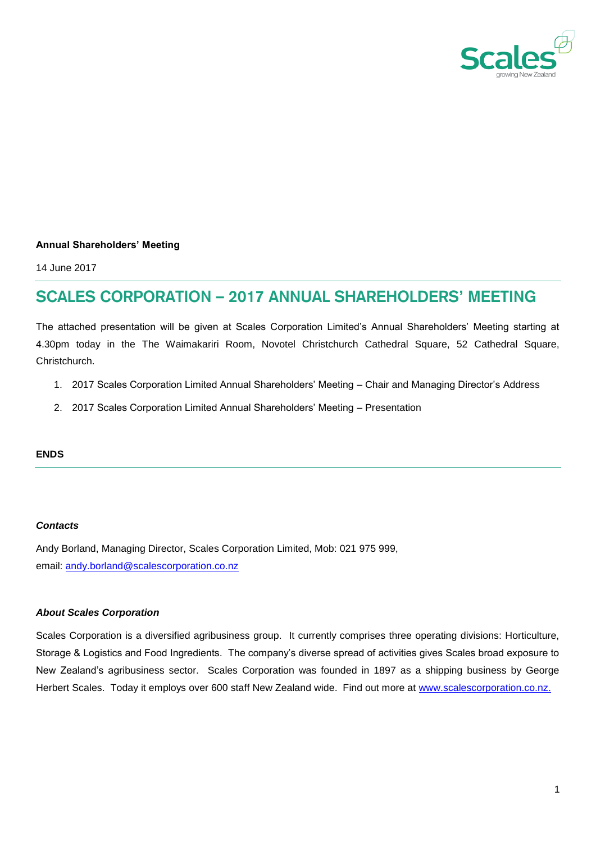

## **Annual Shareholders' Meeting**

14 June 2017

# **SCALES CORPORATION – 2017 ANNUAL SHAREHOLDERS' MEETING**

The attached presentation will be given at Scales Corporation Limited's Annual Shareholders' Meeting starting at 4.30pm today in the The Waimakariri Room, Novotel Christchurch Cathedral Square, 52 Cathedral Square, Christchurch.

- 1. 2017 Scales Corporation Limited Annual Shareholders' Meeting Chair and Managing Director's Address
- 2. 2017 Scales Corporation Limited Annual Shareholders' Meeting Presentation

### **ENDS**

## *Contacts*

Andy Borland, Managing Director, Scales Corporation Limited, Mob: 021 975 999, email: [andy.borland@scalescorporation.co.nz](mailto:andy.borland@scalescorporation.co.nz)

### *About Scales Corporation*

Scales Corporation is a diversified agribusiness group. It currently comprises three operating divisions: Horticulture, Storage & Logistics and Food Ingredients. The company's diverse spread of activities gives Scales broad exposure to New Zealand's agribusiness sector. Scales Corporation was founded in 1897 as a shipping business by George Herbert Scales. Today it employs over 600 staff New Zealand wide. Find out more at [www.scalescorporation.co.nz.](http://www.scalescorporation.co.nz/)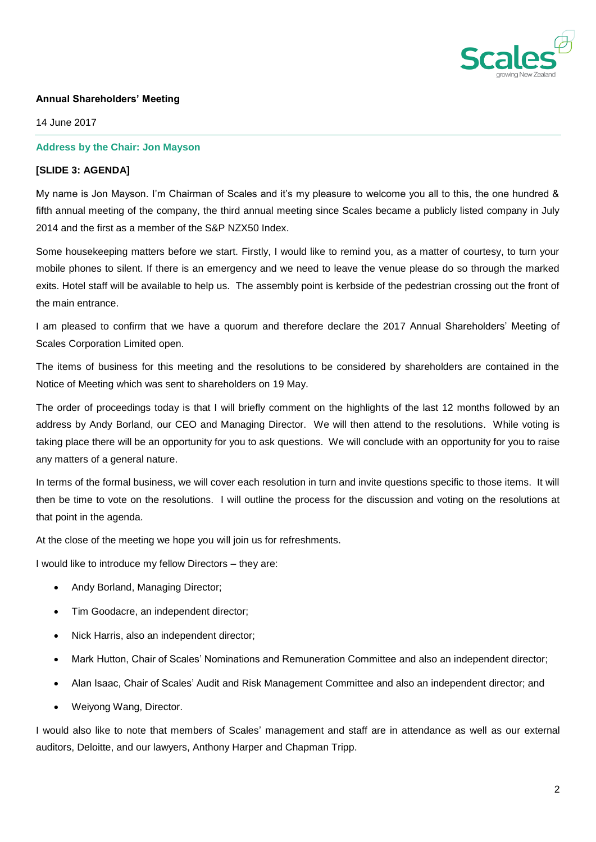

## **Annual Shareholders' Meeting**

14 June 2017

## **Address by the Chair: Jon Mayson**

## **[SLIDE 3: AGENDA]**

My name is Jon Mayson. I'm Chairman of Scales and it's my pleasure to welcome you all to this, the one hundred & fifth annual meeting of the company, the third annual meeting since Scales became a publicly listed company in July 2014 and the first as a member of the S&P NZX50 Index.

Some housekeeping matters before we start. Firstly, I would like to remind you, as a matter of courtesy, to turn your mobile phones to silent. If there is an emergency and we need to leave the venue please do so through the marked exits. Hotel staff will be available to help us. The assembly point is kerbside of the pedestrian crossing out the front of the main entrance.

I am pleased to confirm that we have a quorum and therefore declare the 2017 Annual Shareholders' Meeting of Scales Corporation Limited open.

The items of business for this meeting and the resolutions to be considered by shareholders are contained in the Notice of Meeting which was sent to shareholders on 19 May.

The order of proceedings today is that I will briefly comment on the highlights of the last 12 months followed by an address by Andy Borland, our CEO and Managing Director. We will then attend to the resolutions. While voting is taking place there will be an opportunity for you to ask questions. We will conclude with an opportunity for you to raise any matters of a general nature.

In terms of the formal business, we will cover each resolution in turn and invite questions specific to those items. It will then be time to vote on the resolutions. I will outline the process for the discussion and voting on the resolutions at that point in the agenda.

At the close of the meeting we hope you will join us for refreshments.

I would like to introduce my fellow Directors – they are:

- Andy Borland, Managing Director;
- Tim Goodacre, an independent director;
- Nick Harris, also an independent director;
- Mark Hutton, Chair of Scales' Nominations and Remuneration Committee and also an independent director;
- Alan Isaac, Chair of Scales' Audit and Risk Management Committee and also an independent director; and
- Weiyong Wang, Director.

I would also like to note that members of Scales' management and staff are in attendance as well as our external auditors, Deloitte, and our lawyers, Anthony Harper and Chapman Tripp.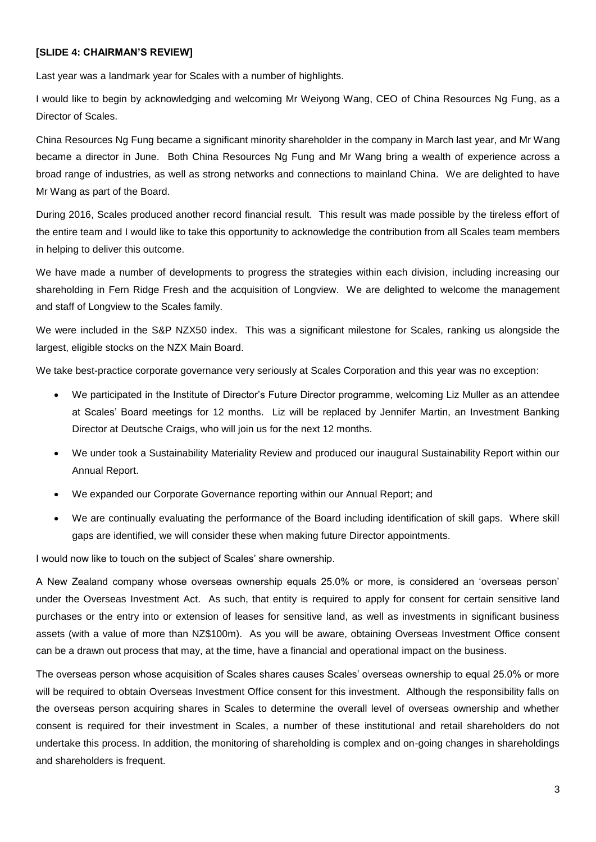## **[SLIDE 4: CHAIRMAN'S REVIEW]**

Last year was a landmark year for Scales with a number of highlights.

I would like to begin by acknowledging and welcoming Mr Weiyong Wang, CEO of China Resources Ng Fung, as a Director of Scales.

China Resources Ng Fung became a significant minority shareholder in the company in March last year, and Mr Wang became a director in June. Both China Resources Ng Fung and Mr Wang bring a wealth of experience across a broad range of industries, as well as strong networks and connections to mainland China. We are delighted to have Mr Wang as part of the Board.

During 2016, Scales produced another record financial result. This result was made possible by the tireless effort of the entire team and I would like to take this opportunity to acknowledge the contribution from all Scales team members in helping to deliver this outcome.

We have made a number of developments to progress the strategies within each division, including increasing our shareholding in Fern Ridge Fresh and the acquisition of Longview. We are delighted to welcome the management and staff of Longview to the Scales family.

We were included in the S&P NZX50 index. This was a significant milestone for Scales, ranking us alongside the largest, eligible stocks on the NZX Main Board.

We take best-practice corporate governance very seriously at Scales Corporation and this year was no exception:

- We participated in the Institute of Director's Future Director programme, welcoming Liz Muller as an attendee at Scales' Board meetings for 12 months. Liz will be replaced by Jennifer Martin, an Investment Banking Director at Deutsche Craigs, who will join us for the next 12 months.
- We under took a Sustainability Materiality Review and produced our inaugural Sustainability Report within our Annual Report.
- We expanded our Corporate Governance reporting within our Annual Report; and
- We are continually evaluating the performance of the Board including identification of skill gaps. Where skill gaps are identified, we will consider these when making future Director appointments.

I would now like to touch on the subject of Scales' share ownership.

A New Zealand company whose overseas ownership equals 25.0% or more, is considered an 'overseas person' under the Overseas Investment Act. As such, that entity is required to apply for consent for certain sensitive land purchases or the entry into or extension of leases for sensitive land, as well as investments in significant business assets (with a value of more than NZ\$100m). As you will be aware, obtaining Overseas Investment Office consent can be a drawn out process that may, at the time, have a financial and operational impact on the business.

The overseas person whose acquisition of Scales shares causes Scales' overseas ownership to equal 25.0% or more will be required to obtain Overseas Investment Office consent for this investment. Although the responsibility falls on the overseas person acquiring shares in Scales to determine the overall level of overseas ownership and whether consent is required for their investment in Scales, a number of these institutional and retail shareholders do not undertake this process. In addition, the monitoring of shareholding is complex and on-going changes in shareholdings and shareholders is frequent.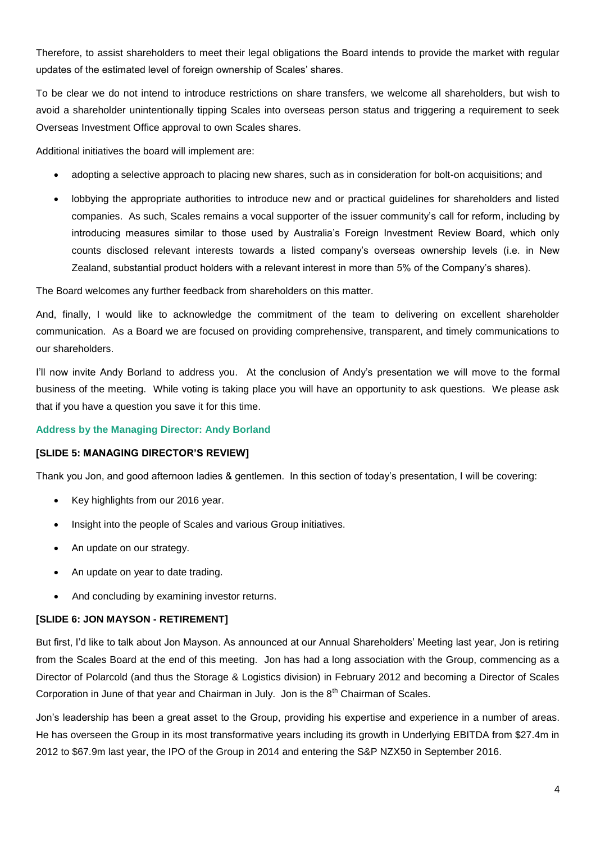Therefore, to assist shareholders to meet their legal obligations the Board intends to provide the market with regular updates of the estimated level of foreign ownership of Scales' shares.

To be clear we do not intend to introduce restrictions on share transfers, we welcome all shareholders, but wish to avoid a shareholder unintentionally tipping Scales into overseas person status and triggering a requirement to seek Overseas Investment Office approval to own Scales shares.

Additional initiatives the board will implement are:

- adopting a selective approach to placing new shares, such as in consideration for bolt-on acquisitions; and
- lobbying the appropriate authorities to introduce new and or practical guidelines for shareholders and listed companies. As such, Scales remains a vocal supporter of the issuer community's call for reform, including by introducing measures similar to those used by Australia's Foreign Investment Review Board, which only counts disclosed relevant interests towards a listed company's overseas ownership levels (i.e. in New Zealand, substantial product holders with a relevant interest in more than 5% of the Company's shares).

The Board welcomes any further feedback from shareholders on this matter.

And, finally, I would like to acknowledge the commitment of the team to delivering on excellent shareholder communication. As a Board we are focused on providing comprehensive, transparent, and timely communications to our shareholders.

I'll now invite Andy Borland to address you. At the conclusion of Andy's presentation we will move to the formal business of the meeting. While voting is taking place you will have an opportunity to ask questions. We please ask that if you have a question you save it for this time.

### **Address by the Managing Director: Andy Borland**

## **[SLIDE 5: MANAGING DIRECTOR'S REVIEW]**

Thank you Jon, and good afternoon ladies & gentlemen. In this section of today's presentation, I will be covering:

- Key highlights from our 2016 year.
- Insight into the people of Scales and various Group initiatives.
- An update on our strategy.
- An update on year to date trading.
- And concluding by examining investor returns.

## **[SLIDE 6: JON MAYSON - RETIREMENT]**

But first, I'd like to talk about Jon Mayson. As announced at our Annual Shareholders' Meeting last year, Jon is retiring from the Scales Board at the end of this meeting. Jon has had a long association with the Group, commencing as a Director of Polarcold (and thus the Storage & Logistics division) in February 2012 and becoming a Director of Scales Corporation in June of that year and Chairman in July. Jon is the  $8<sup>th</sup>$  Chairman of Scales.

Jon's leadership has been a great asset to the Group, providing his expertise and experience in a number of areas. He has overseen the Group in its most transformative years including its growth in Underlying EBITDA from \$27.4m in 2012 to \$67.9m last year, the IPO of the Group in 2014 and entering the S&P NZX50 in September 2016.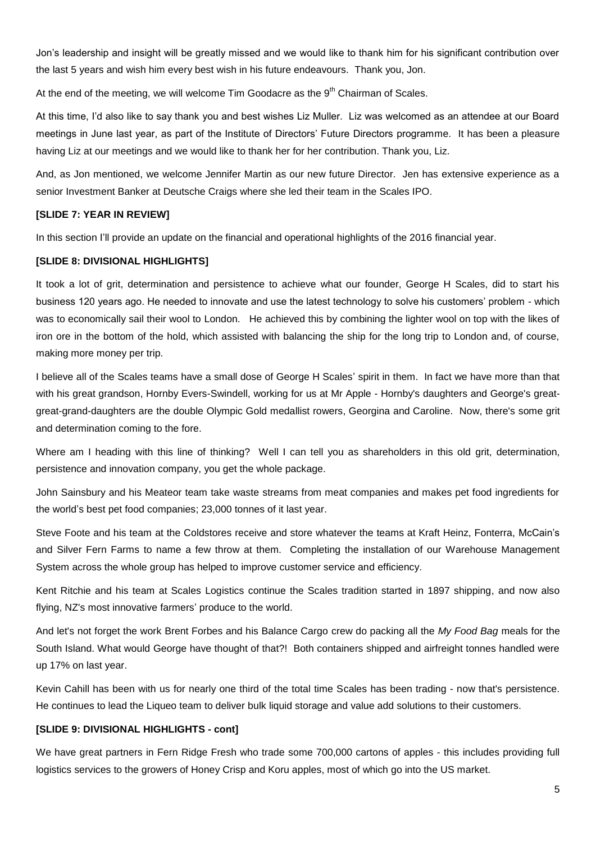Jon's leadership and insight will be greatly missed and we would like to thank him for his significant contribution over the last 5 years and wish him every best wish in his future endeavours. Thank you, Jon.

At the end of the meeting, we will welcome  $\text{Tim}$  Goodacre as the  $9^{\text{th}}$  Chairman of Scales.

At this time, I'd also like to say thank you and best wishes Liz Muller. Liz was welcomed as an attendee at our Board meetings in June last year, as part of the Institute of Directors' Future Directors programme. It has been a pleasure having Liz at our meetings and we would like to thank her for her contribution. Thank you, Liz.

And, as Jon mentioned, we welcome Jennifer Martin as our new future Director. Jen has extensive experience as a senior Investment Banker at Deutsche Craigs where she led their team in the Scales IPO.

# **[SLIDE 7: YEAR IN REVIEW]**

In this section I'll provide an update on the financial and operational highlights of the 2016 financial year.

## **[SLIDE 8: DIVISIONAL HIGHLIGHTS]**

It took a lot of grit, determination and persistence to achieve what our founder, George H Scales, did to start his business 120 years ago. He needed to innovate and use the latest technology to solve his customers' problem - which was to economically sail their wool to London. He achieved this by combining the lighter wool on top with the likes of iron ore in the bottom of the hold, which assisted with balancing the ship for the long trip to London and, of course, making more money per trip.

I believe all of the Scales teams have a small dose of George H Scales' spirit in them. In fact we have more than that with his great grandson, Hornby Evers-Swindell, working for us at Mr Apple - Hornby's daughters and George's greatgreat-grand-daughters are the double Olympic Gold medallist rowers, Georgina and Caroline. Now, there's some grit and determination coming to the fore.

Where am I heading with this line of thinking? Well I can tell you as shareholders in this old grit, determination, persistence and innovation company, you get the whole package.

John Sainsbury and his Meateor team take waste streams from meat companies and makes pet food ingredients for the world's best pet food companies; 23,000 tonnes of it last year.

Steve Foote and his team at the Coldstores receive and store whatever the teams at Kraft Heinz, Fonterra, McCain's and Silver Fern Farms to name a few throw at them. Completing the installation of our Warehouse Management System across the whole group has helped to improve customer service and efficiency.

Kent Ritchie and his team at Scales Logistics continue the Scales tradition started in 1897 shipping, and now also flying, NZ's most innovative farmers' produce to the world.

And let's not forget the work Brent Forbes and his Balance Cargo crew do packing all the *My Food Bag* meals for the South Island. What would George have thought of that?! Both containers shipped and airfreight tonnes handled were up 17% on last year.

Kevin Cahill has been with us for nearly one third of the total time Scales has been trading - now that's persistence. He continues to lead the Liqueo team to deliver bulk liquid storage and value add solutions to their customers.

## **[SLIDE 9: DIVISIONAL HIGHLIGHTS - cont]**

We have great partners in Fern Ridge Fresh who trade some 700,000 cartons of apples - this includes providing full logistics services to the growers of Honey Crisp and Koru apples, most of which go into the US market.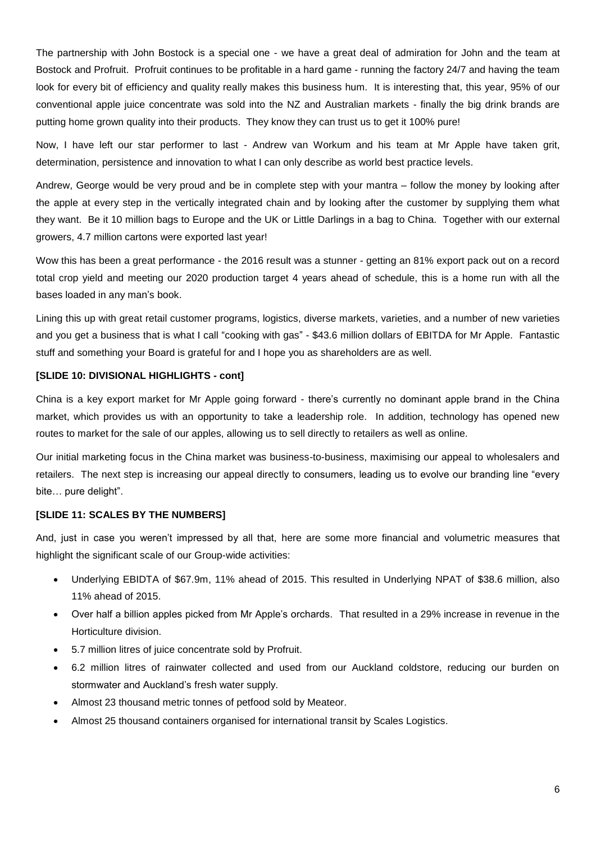The partnership with John Bostock is a special one - we have a great deal of admiration for John and the team at Bostock and Profruit. Profruit continues to be profitable in a hard game - running the factory 24/7 and having the team look for every bit of efficiency and quality really makes this business hum. It is interesting that, this year, 95% of our conventional apple juice concentrate was sold into the NZ and Australian markets - finally the big drink brands are putting home grown quality into their products. They know they can trust us to get it 100% pure!

Now, I have left our star performer to last - Andrew van Workum and his team at Mr Apple have taken grit, determination, persistence and innovation to what I can only describe as world best practice levels.

Andrew, George would be very proud and be in complete step with your mantra – follow the money by looking after the apple at every step in the vertically integrated chain and by looking after the customer by supplying them what they want. Be it 10 million bags to Europe and the UK or Little Darlings in a bag to China. Together with our external growers, 4.7 million cartons were exported last year!

Wow this has been a great performance - the 2016 result was a stunner - getting an 81% export pack out on a record total crop yield and meeting our 2020 production target 4 years ahead of schedule, this is a home run with all the bases loaded in any man's book.

Lining this up with great retail customer programs, logistics, diverse markets, varieties, and a number of new varieties and you get a business that is what I call "cooking with gas" - \$43.6 million dollars of EBITDA for Mr Apple. Fantastic stuff and something your Board is grateful for and I hope you as shareholders are as well.

## **[SLIDE 10: DIVISIONAL HIGHLIGHTS - cont]**

China is a key export market for Mr Apple going forward - there's currently no dominant apple brand in the China market, which provides us with an opportunity to take a leadership role. In addition, technology has opened new routes to market for the sale of our apples, allowing us to sell directly to retailers as well as online.

Our initial marketing focus in the China market was business-to-business, maximising our appeal to wholesalers and retailers. The next step is increasing our appeal directly to consumers, leading us to evolve our branding line "every bite… pure delight".

## **[SLIDE 11: SCALES BY THE NUMBERS]**

And, just in case you weren't impressed by all that, here are some more financial and volumetric measures that highlight the significant scale of our Group-wide activities:

- Underlying EBIDTA of \$67.9m, 11% ahead of 2015. This resulted in Underlying NPAT of \$38.6 million, also 11% ahead of 2015.
- Over half a billion apples picked from Mr Apple's orchards. That resulted in a 29% increase in revenue in the Horticulture division.
- 5.7 million litres of juice concentrate sold by Profruit.
- 6.2 million litres of rainwater collected and used from our Auckland coldstore, reducing our burden on stormwater and Auckland's fresh water supply.
- Almost 23 thousand metric tonnes of petfood sold by Meateor.
- Almost 25 thousand containers organised for international transit by Scales Logistics.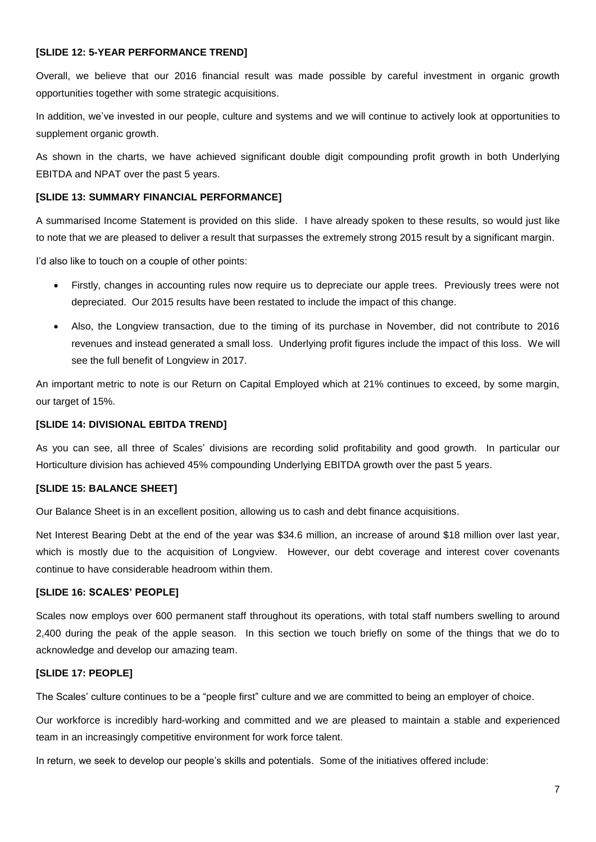## **[SLIDE 12: 5-YEAR PERFORMANCE TREND]**

Overall, we believe that our 2016 financial result was made possible by careful investment in organic growth opportunities together with some strategic acquisitions.

In addition, we've invested in our people, culture and systems and we will continue to actively look at opportunities to supplement organic growth.

As shown in the charts, we have achieved significant double digit compounding profit growth in both Underlying EBITDA and NPAT over the past 5 years.

## **[SLIDE 13: SUMMARY FINANCIAL PERFORMANCE]**

A summarised Income Statement is provided on this slide. I have already spoken to these results, so would just like to note that we are pleased to deliver a result that surpasses the extremely strong 2015 result by a significant margin.

I'd also like to touch on a couple of other points:

- Firstly, changes in accounting rules now require us to depreciate our apple trees. Previously trees were not depreciated. Our 2015 results have been restated to include the impact of this change.
- Also, the Longview transaction, due to the timing of its purchase in November, did not contribute to 2016 revenues and instead generated a small loss. Underlying profit figures include the impact of this loss. We will see the full benefit of Longview in 2017.

An important metric to note is our Return on Capital Employed which at 21% continues to exceed, by some margin, our target of 15%.

## **[SLIDE 14: DIVISIONAL EBITDA TREND]**

As you can see, all three of Scales' divisions are recording solid profitability and good growth. In particular our Horticulture division has achieved 45% compounding Underlying EBITDA growth over the past 5 years.

### **[SLIDE 15: BALANCE SHEET]**

Our Balance Sheet is in an excellent position, allowing us to cash and debt finance acquisitions.

Net Interest Bearing Debt at the end of the year was \$34.6 million, an increase of around \$18 million over last year, which is mostly due to the acquisition of Longview. However, our debt coverage and interest cover covenants continue to have considerable headroom within them.

## **[SLIDE 16: SCALES' PEOPLE]**

Scales now employs over 600 permanent staff throughout its operations, with total staff numbers swelling to around 2,400 during the peak of the apple season. In this section we touch briefly on some of the things that we do to acknowledge and develop our amazing team.

## **[SLIDE 17: PEOPLE]**

The Scales' culture continues to be a "people first" culture and we are committed to being an employer of choice.

Our workforce is incredibly hard-working and committed and we are pleased to maintain a stable and experienced team in an increasingly competitive environment for work force talent.

In return, we seek to develop our people's skills and potentials. Some of the initiatives offered include: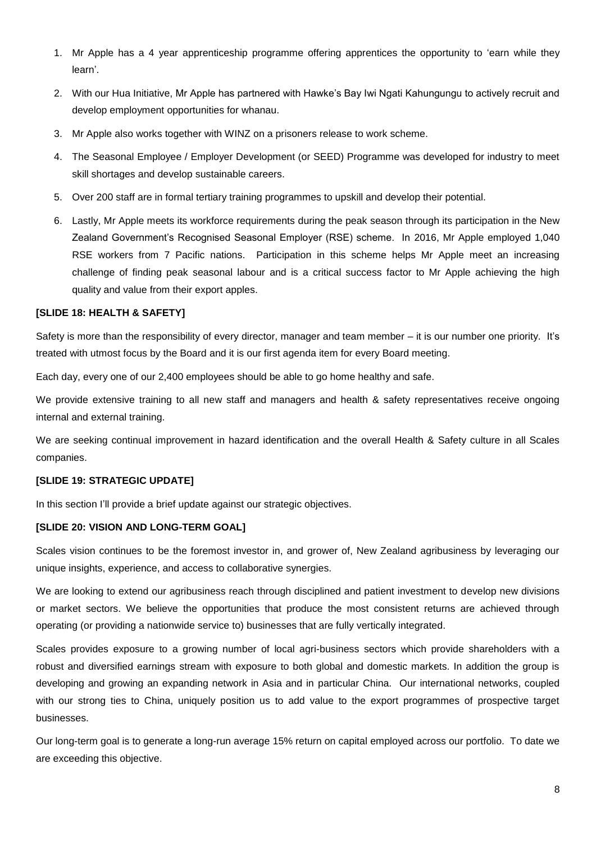- 1. Mr Apple has a 4 year apprenticeship programme offering apprentices the opportunity to 'earn while they learn'.
- 2. With our Hua Initiative, Mr Apple has partnered with Hawke's Bay Iwi Ngati Kahungungu to actively recruit and develop employment opportunities for whanau.
- 3. Mr Apple also works together with WINZ on a prisoners release to work scheme.
- 4. The Seasonal Employee / Employer Development (or SEED) Programme was developed for industry to meet skill shortages and develop sustainable careers.
- 5. Over 200 staff are in formal tertiary training programmes to upskill and develop their potential.
- 6. Lastly, Mr Apple meets its workforce requirements during the peak season through its participation in the New Zealand Government's Recognised Seasonal Employer (RSE) scheme. In 2016, Mr Apple employed 1,040 RSE workers from 7 Pacific nations. Participation in this scheme helps Mr Apple meet an increasing challenge of finding peak seasonal labour and is a critical success factor to Mr Apple achieving the high quality and value from their export apples.

# **[SLIDE 18: HEALTH & SAFETY]**

Safety is more than the responsibility of every director, manager and team member – it is our number one priority. It's treated with utmost focus by the Board and it is our first agenda item for every Board meeting.

Each day, every one of our 2,400 employees should be able to go home healthy and safe.

We provide extensive training to all new staff and managers and health & safety representatives receive ongoing internal and external training.

We are seeking continual improvement in hazard identification and the overall Health & Safety culture in all Scales companies.

# **[SLIDE 19: STRATEGIC UPDATE]**

In this section I'll provide a brief update against our strategic objectives.

## **[SLIDE 20: VISION AND LONG-TERM GOAL]**

Scales vision continues to be the foremost investor in, and grower of, New Zealand agribusiness by leveraging our unique insights, experience, and access to collaborative synergies.

We are looking to extend our agribusiness reach through disciplined and patient investment to develop new divisions or market sectors. We believe the opportunities that produce the most consistent returns are achieved through operating (or providing a nationwide service to) businesses that are fully vertically integrated.

Scales provides exposure to a growing number of local agri-business sectors which provide shareholders with a robust and diversified earnings stream with exposure to both global and domestic markets. In addition the group is developing and growing an expanding network in Asia and in particular China. Our international networks, coupled with our strong ties to China, uniquely position us to add value to the export programmes of prospective target businesses.

Our long-term goal is to generate a long-run average 15% return on capital employed across our portfolio. To date we are exceeding this objective.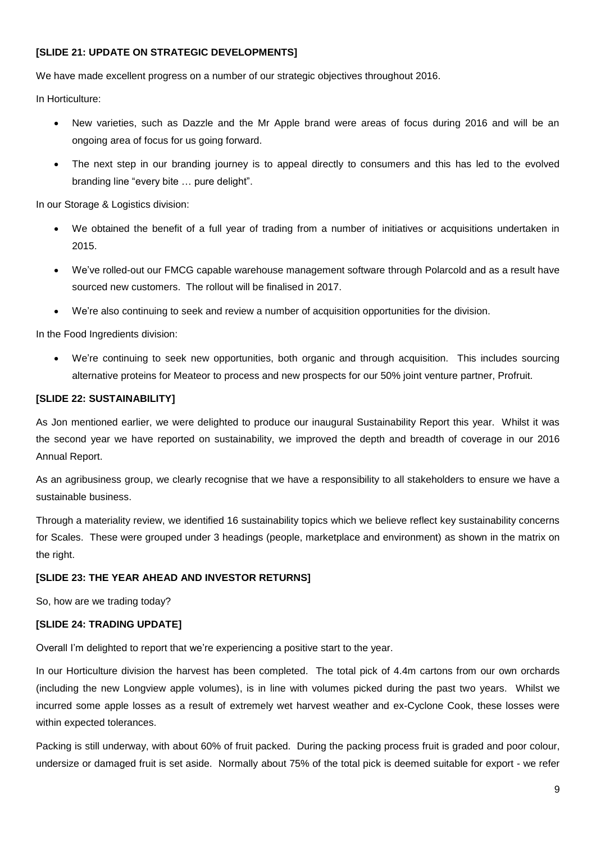## **[SLIDE 21: UPDATE ON STRATEGIC DEVELOPMENTS]**

We have made excellent progress on a number of our strategic objectives throughout 2016.

In Horticulture:

- New varieties, such as Dazzle and the Mr Apple brand were areas of focus during 2016 and will be an ongoing area of focus for us going forward.
- The next step in our branding journey is to appeal directly to consumers and this has led to the evolved branding line "every bite … pure delight".

In our Storage & Logistics division:

- We obtained the benefit of a full year of trading from a number of initiatives or acquisitions undertaken in 2015.
- We've rolled-out our FMCG capable warehouse management software through Polarcold and as a result have sourced new customers. The rollout will be finalised in 2017.
- We're also continuing to seek and review a number of acquisition opportunities for the division.

In the Food Ingredients division:

 We're continuing to seek new opportunities, both organic and through acquisition. This includes sourcing alternative proteins for Meateor to process and new prospects for our 50% joint venture partner, Profruit.

## **[SLIDE 22: SUSTAINABILITY]**

As Jon mentioned earlier, we were delighted to produce our inaugural Sustainability Report this year. Whilst it was the second year we have reported on sustainability, we improved the depth and breadth of coverage in our 2016 Annual Report.

As an agribusiness group, we clearly recognise that we have a responsibility to all stakeholders to ensure we have a sustainable business.

Through a materiality review, we identified 16 sustainability topics which we believe reflect key sustainability concerns for Scales. These were grouped under 3 headings (people, marketplace and environment) as shown in the matrix on the right.

### **[SLIDE 23: THE YEAR AHEAD AND INVESTOR RETURNS]**

So, how are we trading today?

### **[SLIDE 24: TRADING UPDATE]**

Overall I'm delighted to report that we're experiencing a positive start to the year.

In our Horticulture division the harvest has been completed. The total pick of 4.4m cartons from our own orchards (including the new Longview apple volumes), is in line with volumes picked during the past two years. Whilst we incurred some apple losses as a result of extremely wet harvest weather and ex-Cyclone Cook, these losses were within expected tolerances.

Packing is still underway, with about 60% of fruit packed. During the packing process fruit is graded and poor colour, undersize or damaged fruit is set aside. Normally about 75% of the total pick is deemed suitable for export - we refer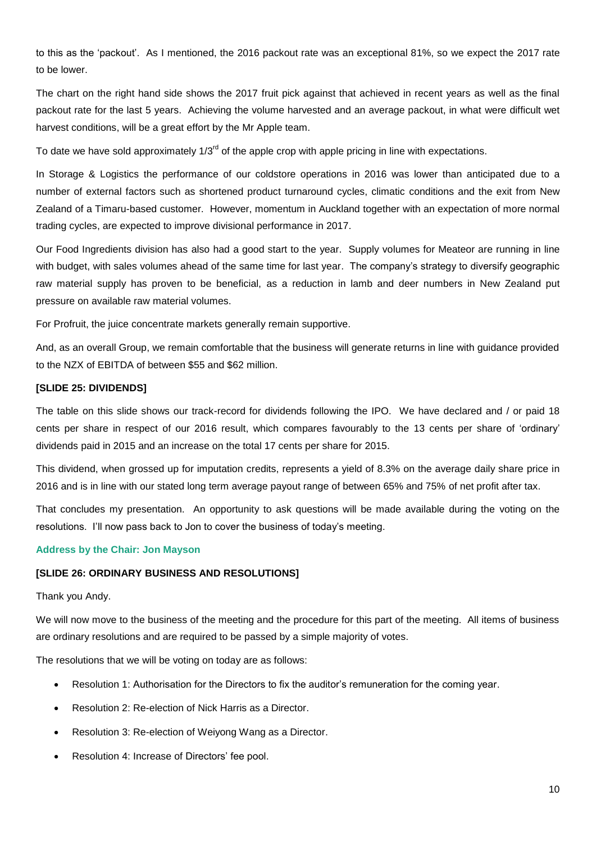to this as the 'packout'. As I mentioned, the 2016 packout rate was an exceptional 81%, so we expect the 2017 rate to be lower.

The chart on the right hand side shows the 2017 fruit pick against that achieved in recent years as well as the final packout rate for the last 5 years. Achieving the volume harvested and an average packout, in what were difficult wet harvest conditions, will be a great effort by the Mr Apple team.

To date we have sold approximately  $1/3^{rd}$  of the apple crop with apple pricing in line with expectations.

In Storage & Logistics the performance of our coldstore operations in 2016 was lower than anticipated due to a number of external factors such as shortened product turnaround cycles, climatic conditions and the exit from New Zealand of a Timaru-based customer. However, momentum in Auckland together with an expectation of more normal trading cycles, are expected to improve divisional performance in 2017.

Our Food Ingredients division has also had a good start to the year. Supply volumes for Meateor are running in line with budget, with sales volumes ahead of the same time for last year. The company's strategy to diversify geographic raw material supply has proven to be beneficial, as a reduction in lamb and deer numbers in New Zealand put pressure on available raw material volumes.

For Profruit, the juice concentrate markets generally remain supportive.

And, as an overall Group, we remain comfortable that the business will generate returns in line with guidance provided to the NZX of EBITDA of between \$55 and \$62 million.

# **[SLIDE 25: DIVIDENDS]**

The table on this slide shows our track-record for dividends following the IPO. We have declared and / or paid 18 cents per share in respect of our 2016 result, which compares favourably to the 13 cents per share of 'ordinary' dividends paid in 2015 and an increase on the total 17 cents per share for 2015.

This dividend, when grossed up for imputation credits, represents a yield of 8.3% on the average daily share price in 2016 and is in line with our stated long term average payout range of between 65% and 75% of net profit after tax.

That concludes my presentation. An opportunity to ask questions will be made available during the voting on the resolutions. I'll now pass back to Jon to cover the business of today's meeting.

### **Address by the Chair: Jon Mayson**

## **[SLIDE 26: ORDINARY BUSINESS AND RESOLUTIONS]**

#### Thank you Andy.

We will now move to the business of the meeting and the procedure for this part of the meeting. All items of business are ordinary resolutions and are required to be passed by a simple majority of votes.

The resolutions that we will be voting on today are as follows:

- Resolution 1: Authorisation for the Directors to fix the auditor's remuneration for the coming year.
- Resolution 2: Re-election of Nick Harris as a Director.
- Resolution 3: Re-election of Weiyong Wang as a Director.
- Resolution 4: Increase of Directors' fee pool.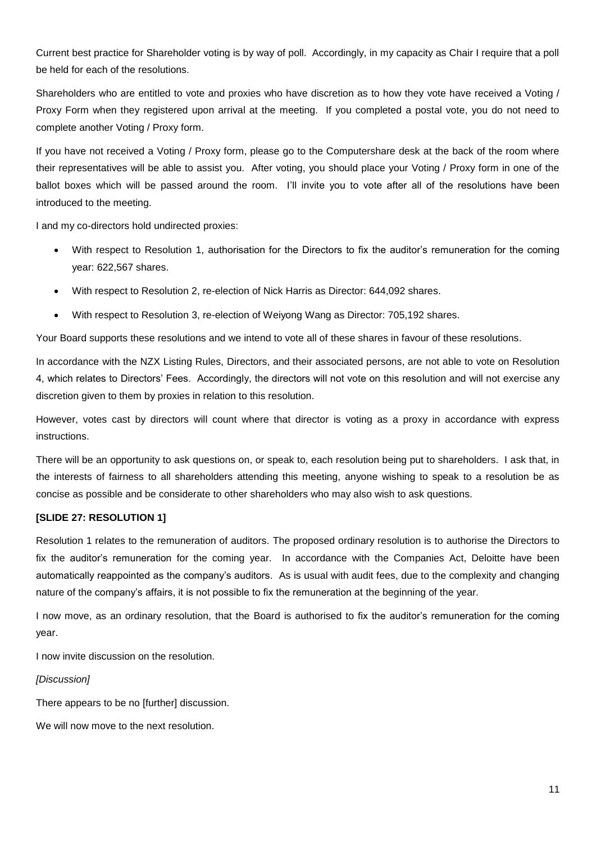Current best practice for Shareholder voting is by way of poll. Accordingly, in my capacity as Chair I require that a poll be held for each of the resolutions.

Shareholders who are entitled to vote and proxies who have discretion as to how they vote have received a Voting / Proxy Form when they registered upon arrival at the meeting. If you completed a postal vote, you do not need to complete another Voting / Proxy form.

If you have not received a Voting / Proxy form, please go to the Computershare desk at the back of the room where their representatives will be able to assist you. After voting, you should place your Voting / Proxy form in one of the ballot boxes which will be passed around the room. I'll invite you to vote after all of the resolutions have been introduced to the meeting.

I and my co-directors hold undirected proxies:

- With respect to Resolution 1, authorisation for the Directors to fix the auditor's remuneration for the coming year: 622,567 shares.
- With respect to Resolution 2, re-election of Nick Harris as Director: 644,092 shares.
- With respect to Resolution 3, re-election of Weiyong Wang as Director: 705,192 shares.

Your Board supports these resolutions and we intend to vote all of these shares in favour of these resolutions.

In accordance with the NZX Listing Rules, Directors, and their associated persons, are not able to vote on Resolution 4, which relates to Directors' Fees. Accordingly, the directors will not vote on this resolution and will not exercise any discretion given to them by proxies in relation to this resolution.

However, votes cast by directors will count where that director is voting as a proxy in accordance with express instructions.

There will be an opportunity to ask questions on, or speak to, each resolution being put to shareholders. I ask that, in the interests of fairness to all shareholders attending this meeting, anyone wishing to speak to a resolution be as concise as possible and be considerate to other shareholders who may also wish to ask questions.

## **[SLIDE 27: RESOLUTION 1]**

Resolution 1 relates to the remuneration of auditors. The proposed ordinary resolution is to authorise the Directors to fix the auditor's remuneration for the coming year. In accordance with the Companies Act, Deloitte have been automatically reappointed as the company's auditors. As is usual with audit fees, due to the complexity and changing nature of the company's affairs, it is not possible to fix the remuneration at the beginning of the year.

I now move, as an ordinary resolution, that the Board is authorised to fix the auditor's remuneration for the coming year.

I now invite discussion on the resolution.

### *[Discussion]*

There appears to be no [further] discussion.

We will now move to the next resolution.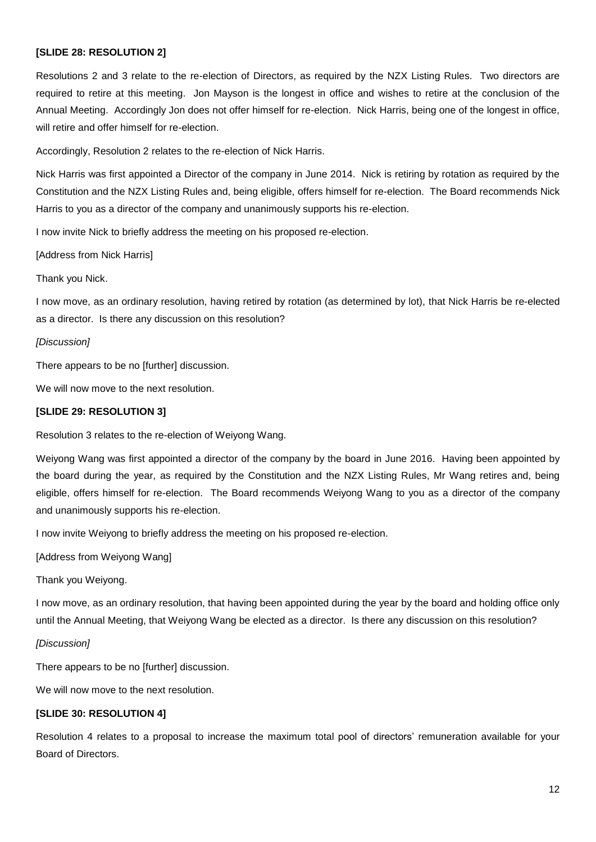## **[SLIDE 28: RESOLUTION 2]**

Resolutions 2 and 3 relate to the re-election of Directors, as required by the NZX Listing Rules. Two directors are required to retire at this meeting. Jon Mayson is the longest in office and wishes to retire at the conclusion of the Annual Meeting. Accordingly Jon does not offer himself for re-election. Nick Harris, being one of the longest in office, will retire and offer himself for re-election.

Accordingly, Resolution 2 relates to the re-election of Nick Harris.

Nick Harris was first appointed a Director of the company in June 2014. Nick is retiring by rotation as required by the Constitution and the NZX Listing Rules and, being eligible, offers himself for re-election. The Board recommends Nick Harris to you as a director of the company and unanimously supports his re-election.

I now invite Nick to briefly address the meeting on his proposed re-election.

[Address from Nick Harris]

Thank you Nick.

I now move, as an ordinary resolution, having retired by rotation (as determined by lot), that Nick Harris be re-elected as a director. Is there any discussion on this resolution?

#### *[Discussion]*

There appears to be no [further] discussion.

We will now move to the next resolution.

## **[SLIDE 29: RESOLUTION 3]**

Resolution 3 relates to the re-election of Weiyong Wang.

Weiyong Wang was first appointed a director of the company by the board in June 2016. Having been appointed by the board during the year, as required by the Constitution and the NZX Listing Rules, Mr Wang retires and, being eligible, offers himself for re-election. The Board recommends Weiyong Wang to you as a director of the company and unanimously supports his re-election.

I now invite Weiyong to briefly address the meeting on his proposed re-election.

[Address from Weiyong Wang]

Thank you Weiyong.

I now move, as an ordinary resolution, that having been appointed during the year by the board and holding office only until the Annual Meeting, that Weiyong Wang be elected as a director. Is there any discussion on this resolution?

#### *[Discussion]*

There appears to be no [further] discussion.

We will now move to the next resolution.

## **[SLIDE 30: RESOLUTION 4]**

Resolution 4 relates to a proposal to increase the maximum total pool of directors' remuneration available for your Board of Directors.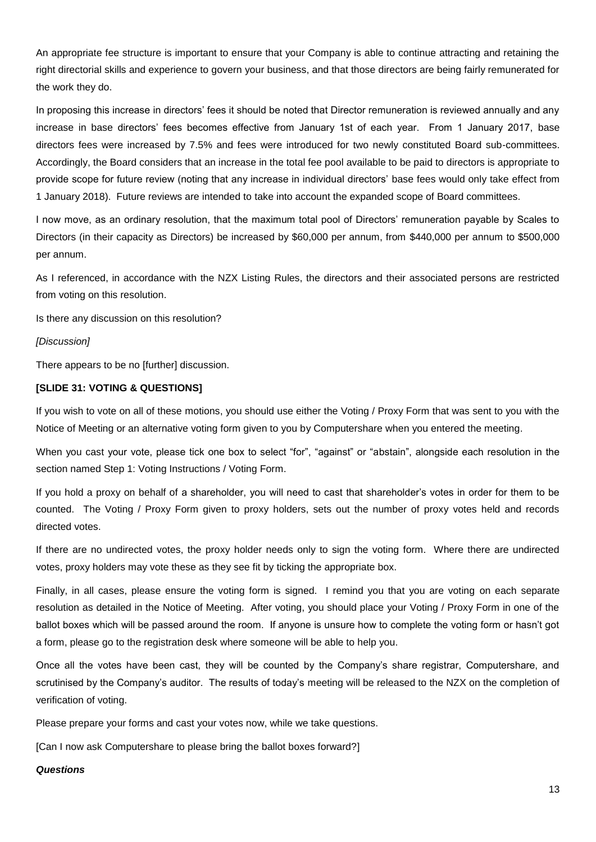An appropriate fee structure is important to ensure that your Company is able to continue attracting and retaining the right directorial skills and experience to govern your business, and that those directors are being fairly remunerated for the work they do.

In proposing this increase in directors' fees it should be noted that Director remuneration is reviewed annually and any increase in base directors' fees becomes effective from January 1st of each year. From 1 January 2017, base directors fees were increased by 7.5% and fees were introduced for two newly constituted Board sub-committees. Accordingly, the Board considers that an increase in the total fee pool available to be paid to directors is appropriate to provide scope for future review (noting that any increase in individual directors' base fees would only take effect from 1 January 2018). Future reviews are intended to take into account the expanded scope of Board committees.

I now move, as an ordinary resolution, that the maximum total pool of Directors' remuneration payable by Scales to Directors (in their capacity as Directors) be increased by \$60,000 per annum, from \$440,000 per annum to \$500,000 per annum.

As I referenced, in accordance with the NZX Listing Rules, the directors and their associated persons are restricted from voting on this resolution.

Is there any discussion on this resolution?

### *[Discussion]*

There appears to be no [further] discussion.

# **[SLIDE 31: VOTING & QUESTIONS]**

If you wish to vote on all of these motions, you should use either the Voting / Proxy Form that was sent to you with the Notice of Meeting or an alternative voting form given to you by Computershare when you entered the meeting.

When you cast your vote, please tick one box to select "for", "against" or "abstain", alongside each resolution in the section named Step 1: Voting Instructions / Voting Form.

If you hold a proxy on behalf of a shareholder, you will need to cast that shareholder's votes in order for them to be counted. The Voting / Proxy Form given to proxy holders, sets out the number of proxy votes held and records directed votes.

If there are no undirected votes, the proxy holder needs only to sign the voting form. Where there are undirected votes, proxy holders may vote these as they see fit by ticking the appropriate box.

Finally, in all cases, please ensure the voting form is signed. I remind you that you are voting on each separate resolution as detailed in the Notice of Meeting. After voting, you should place your Voting / Proxy Form in one of the ballot boxes which will be passed around the room. If anyone is unsure how to complete the voting form or hasn't got a form, please go to the registration desk where someone will be able to help you.

Once all the votes have been cast, they will be counted by the Company's share registrar, Computershare, and scrutinised by the Company's auditor. The results of today's meeting will be released to the NZX on the completion of verification of voting.

Please prepare your forms and cast your votes now, while we take questions.

[Can I now ask Computershare to please bring the ballot boxes forward?]

#### *Questions*